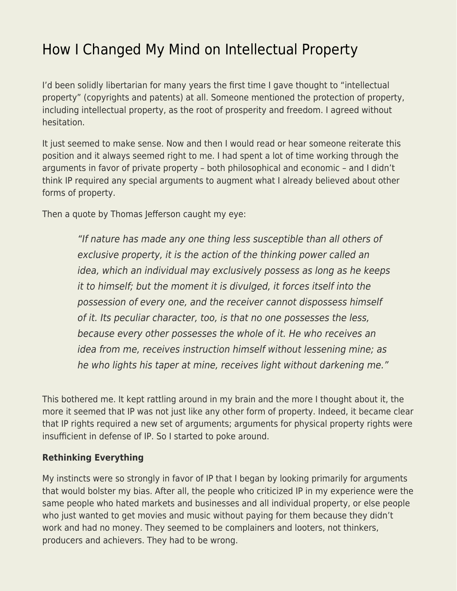## [How I Changed My Mind on Intellectual Property](https://everything-voluntary.com/changed-mind-intellectual-property)

I'd been solidly libertarian for many years the first time I gave thought to "intellectual property" (copyrights and patents) at all. Someone mentioned the protection of property, including intellectual property, as the root of prosperity and freedom. I agreed without hesitation.

It just seemed to make sense. Now and then I would read or hear someone reiterate this position and it always seemed right to me. I had spent a lot of time working through the arguments in favor of private property – both philosophical and economic – and I didn't think IP required any special arguments to augment what I already believed about other forms of property.

Then a quote by Thomas Jefferson caught my eye:

"If nature has made any one thing less susceptible than all others of exclusive property, it is the action of the thinking power called an idea, which an individual may exclusively possess as long as he keeps it to himself; but the moment it is divulged, it forces itself into the possession of every one, and the receiver cannot dispossess himself of it. Its peculiar character, too, is that no one possesses the less, because every other possesses the whole of it. He who receives an idea from me, receives instruction himself without lessening mine; as he who lights his taper at mine, receives light without darkening me."

This bothered me. It kept rattling around in my brain and the more I thought about it, the more it seemed that IP was not just like any other form of property. Indeed, it became clear that IP rights required a new set of arguments; arguments for physical property rights were insufficient in defense of IP. So I started to poke around.

## **Rethinking Everything**

My instincts were so strongly in favor of IP that I began by looking primarily for arguments that would bolster my bias. After all, the people who criticized IP in my experience were the same people who hated markets and businesses and all individual property, or else people who just wanted to get movies and music without paying for them because they didn't work and had no money. They seemed to be complainers and looters, not thinkers, producers and achievers. They had to be wrong.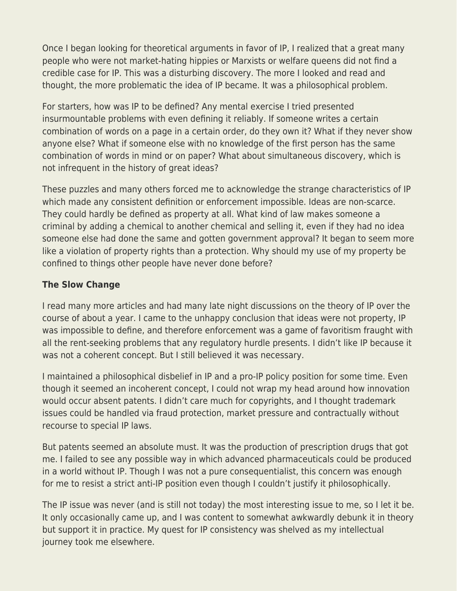Once I began looking for theoretical arguments in favor of IP, I realized that a great many people who were not market-hating hippies or Marxists or welfare queens did not find a credible case for IP. This was a disturbing discovery. The more I looked and read and thought, the more problematic the idea of IP became. It was a philosophical problem.

For starters, how was IP to be defined? Any mental exercise I tried presented insurmountable problems with even defining it reliably. If someone writes a certain combination of words on a page in a certain order, do they own it? What if they never show anyone else? What if someone else with no knowledge of the first person has the same combination of words in mind or on paper? What about simultaneous discovery, which is not infrequent in the history of great ideas?

These puzzles and many others forced me to acknowledge the strange characteristics of IP which made any consistent definition or enforcement impossible. Ideas are non-scarce. They could hardly be defined as property at all. What kind of law makes someone a criminal by adding a chemical to another chemical and selling it, even if they had no idea someone else had done the same and gotten government approval? It began to seem more like a violation of property rights than a protection. Why should my use of my property be confined to things other people have never done before?

## **The Slow Change**

I read many more articles and had many late night discussions on the theory of IP over the course of about a year. I came to the unhappy conclusion that ideas were not property, IP was impossible to define, and therefore enforcement was a game of favoritism fraught with all the rent-seeking problems that any regulatory hurdle presents. I didn't like IP because it was not a coherent concept. But I still believed it was necessary.

I maintained a philosophical disbelief in IP and a pro-IP policy position for some time. Even though it seemed an incoherent concept, I could not wrap my head around how innovation would occur absent patents. I didn't care much for copyrights, and I thought trademark issues could be handled via fraud protection, market pressure and contractually without recourse to special IP laws.

But patents seemed an absolute must. It was the production of prescription drugs that got me. I failed to see any possible way in which advanced pharmaceuticals could be produced in a world without IP. Though I was not a pure consequentialist, this concern was enough for me to resist a strict anti-IP position even though I couldn't justify it philosophically.

The IP issue was never (and is still not today) the most interesting issue to me, so I let it be. It only occasionally came up, and I was content to somewhat awkwardly debunk it in theory but support it in practice. My quest for IP consistency was shelved as my intellectual journey took me elsewhere.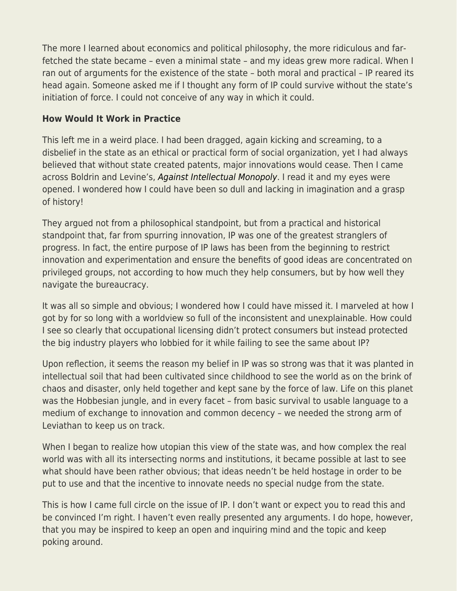The more I learned about economics and political philosophy, the more ridiculous and farfetched the state became – even a minimal state – and my ideas grew more radical. When I ran out of arguments for the existence of the state – both moral and practical – IP reared its head again. Someone asked me if I thought any form of IP could survive without the state's initiation of force. I could not conceive of any way in which it could.

## **How Would It Work in Practice**

This left me in a weird place. I had been dragged, again kicking and screaming, to a disbelief in the state as an ethical or practical form of social organization, yet I had always believed that without state created patents, major innovations would cease. Then I came across Boldrin and Levine's, [Against Intellectual Monopoly](http://www.micheleboldrin.com/research/aim.html). I read it and my eyes were opened. I wondered how I could have been so dull and lacking in imagination and a grasp of history!

They argued not from a philosophical standpoint, but from a practical and historical standpoint that, far from spurring innovation, IP was one of the greatest stranglers of progress. In fact, the entire purpose of IP laws has been from the beginning to restrict innovation and experimentation and ensure the benefits of good ideas are concentrated on privileged groups, not according to how much they help consumers, but by how well they navigate the bureaucracy.

It was all so simple and obvious; I wondered how I could have missed it. I marveled at how I got by for so long with a worldview so full of the inconsistent and unexplainable. How could I see so clearly that occupational licensing didn't protect consumers but instead protected the big industry players who lobbied for it while failing to see the same about IP?

Upon reflection, it seems the reason my belief in IP was so strong was that it was planted in intellectual soil that had been cultivated since childhood to see the world as on the brink of chaos and disaster, only held together and kept sane by the force of law. Life on this planet was the Hobbesian jungle, and in every facet – from basic survival to usable language to a medium of exchange to innovation and common decency – we needed the strong arm of Leviathan to keep us on track.

When I began to realize how utopian this view of the state was, and how complex the real world was with all its intersecting norms and institutions, it became possible at last to see what should have been rather obvious; that ideas needn't be held hostage in order to be put to use and that the incentive to innovate needs no special nudge from the state.

This is how I came full circle on the issue of IP. I don't want or expect you to read this and be convinced I'm right. I haven't even really presented any arguments. I do hope, however, that you may be inspired to keep an open and inquiring mind and the topic and keep poking around.